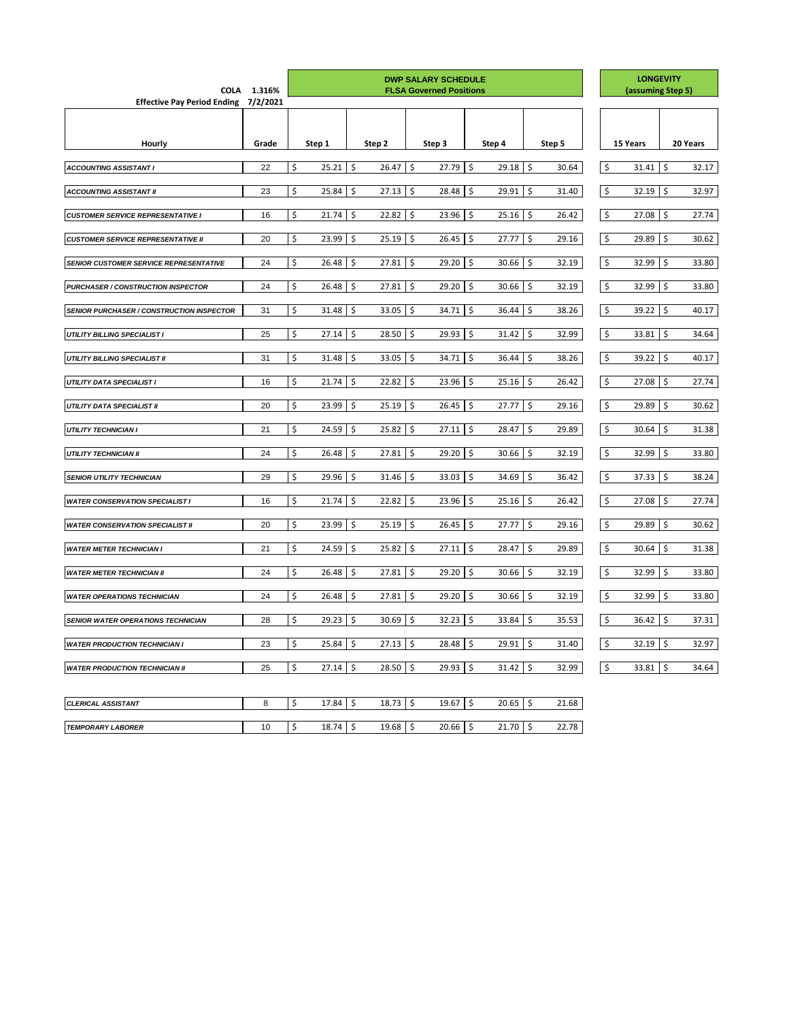| <b>COLA</b>                                      | 1.316%   | <b>DWP SALARY SCHEDULE</b><br><b>FLSA Governed Positions</b> |            |                    |              |            |              |         | <b>LONGEVITY</b><br>(assuming Step 5) |                          |        |                    |              |               |          |
|--------------------------------------------------|----------|--------------------------------------------------------------|------------|--------------------|--------------|------------|--------------|---------|---------------------------------------|--------------------------|--------|--------------------|--------------|---------------|----------|
| <b>Effective Pay Period Ending</b>               | 7/2/2021 |                                                              |            |                    |              |            |              |         |                                       |                          |        |                    |              |               |          |
|                                                  |          |                                                              |            |                    |              |            |              |         |                                       |                          |        |                    |              |               |          |
|                                                  |          |                                                              |            |                    |              |            |              |         |                                       |                          |        |                    |              |               |          |
| <b>Hourly</b>                                    | Grade    |                                                              | Step 1     |                    | Step 2       |            | Step 3       |         | Step 4                                |                          | Step 5 |                    | 15 Years     |               | 20 Years |
| <b>ACCOUNTING ASSISTANT I</b>                    | 22       | \$                                                           | 25.21      | \$                 | 26.47        | \$         | 27.79        | \$      | 29.18                                 | \$                       | 30.64  | \$                 | 31.41        | \$            | 32.17    |
|                                                  |          |                                                              |            |                    |              |            |              |         |                                       |                          |        |                    |              |               |          |
| <b>ACCOUNTING ASSISTANT II</b>                   | 23       | \$                                                           | 25.84      | $\zeta$            | $27.13$ \$   |            | 28.48        | \$      | 29.91                                 | \$                       | 31.40  | \$                 | 32.19        | $\zeta$       | 32.97    |
| <b>CUSTOMER SERVICE REPRESENTATIVE I</b>         | 16       | \$                                                           | 21.74      | $\ddot{\phi}$      | $22.82$ \$   |            | 23.96        | \$      | 25.16                                 | $\ddot{\varsigma}$       | 26.42  | $\ddot{\phi}$      | 27.08        | $\zeta$       | 27.74    |
| <b>CUSTOMER SERVICE REPRESENTATIVE II</b>        | 20       | \$                                                           | 23.99      | $\ddot{\phi}$      | $25.19$ \$   |            | $26.45$   \$ |         | 27.77                                 | $\ddot{\varsigma}$       | 29.16  | $\ddot{\phi}$      | 29.89        | \$            | 30.62    |
| <b>SENIOR CUSTOMER SERVICE REPRESENTATIVE</b>    | 24       | \$                                                           | 26.48      | $\zeta$            | 27.81        | $\zeta$    | 29.20        | \$      | 30.66                                 | \$                       | 32.19  | $\zeta$            | 32.99        | \$            | 33.80    |
| <b>PURCHASER / CONSTRUCTION INSPECTOR</b>        | 24       | \$                                                           | 26.48      | $\ddot{\phi}$      | 27.81        | $\vert$ \$ | 29.20        | \$      | 30.66                                 | $\zeta$                  | 32.19  | \$                 | 32.99        | $\ddot{\phi}$ | 33.80    |
| <b>SENIOR PURCHASER / CONSTRUCTION INSPECTOR</b> | 31       | \$                                                           | 31.48      | $\zeta$            | 33.05        | $\zeta$    | 34.71        | \$      | 36.44                                 | \$                       | 38.26  | \$                 | 39.22        | \$            | 40.17    |
| <b>UTILITY BILLING SPECIALIST I</b>              | 25       | \$                                                           | 27.14      | $\ddot{\varsigma}$ | $28.50$ \$   |            | 29.93        | \$      | 31.42                                 | $\ddot{\mathsf{S}}$      | 32.99  | $\ddot{\phi}$      | 33.81        | $\zeta$       | 34.64    |
| <b>UTILITY BILLING SPECIALIST II</b>             | 31       | \$                                                           | 31.48      | \$                 | $33.05$ \$   |            | $34.71$ \$   |         | 36.44                                 | \$                       | 38.26  | $\ddot{\phi}$      | 39.22        | \$            | 40.17    |
| <b>UTILITY DATA SPECIALIST I</b>                 | 16       | \$                                                           | 21.74      | $\ddot{\phi}$      | $22.82$ \$   |            | 23.96        | \$      | 25.16                                 | \$                       | 26.42  | $\zeta$            | 27.08        | \$            | 27.74    |
| UTILITY DATA SPECIALIST II                       | 20       | \$                                                           | 23.99      | \$                 | $25.19$ \$   |            | 26.45        | \$      | 27.77                                 | \$                       | 29.16  | $\zeta$            | 29.89        | \$            | 30.62    |
| <b>UTILITY TECHNICIAN I</b>                      | 21       | \$                                                           | 24.59      | $\ddot{\varsigma}$ | 25.82        | $\vert$ \$ | 27.11        | $\zeta$ | 28.47                                 | \$                       | 29.89  | $\zeta$            | 30.64        | $\zeta$       | 31.38    |
| <b>UTILITY TECHNICIAN II</b>                     | 24       | \$                                                           | 26.48      | $\ddot{\varsigma}$ | $27.81$ \$   |            | $29.20$ \$   |         | 30.66                                 | $\zeta$                  | 32.19  | $\frac{1}{2}$      | $32.99$   \$ |               | 33.80    |
| <b>SENIOR UTILITY TECHNICIAN</b>                 | 29       | \$                                                           | 29.96      | $\ddot{\phi}$      | $31.46$ \$   |            | $33.03$   \$ |         | 34.69                                 | $\ddot{\phi}$            | 36.42  | $\ddot{\zeta}$     | $37.33$ \$   |               | 38.24    |
| <b>WATER CONSERVATION SPECIALIST I</b>           | 16       | \$                                                           | $21.74$ \$ |                    | $22.82$   \$ |            | $23.96$ \$   |         | 25.16                                 | $\ddot{\zeta}$           | 26.42  | $\ddot{\zeta}$     | 27.08        | $\ddot{\phi}$ | 27.74    |
| <b>WATER CONSERVATION SPECIALIST II</b>          | 20       | \$                                                           | 23.99      | $\ddot{\phi}$      | $25.19$ \$   |            | 26.45        | \$      | 27.77                                 | \$                       | 29.16  | $\zeta$            | 29.89        | \$            | 30.62    |
| <b>WATER METER TECHNICIAN I</b>                  | 21       | \$                                                           | 24.59      | \$                 | $25.82$ \$   |            | $27.11$ \$   |         | 28.47                                 | \$                       | 29.89  | $\ddot{\phi}$      | 30.64        | \$            | 31.38    |
| <b>WATER METER TECHNICIAN II</b>                 | 24       | \$                                                           | 26.48      | $\ddot{\phi}$      | 27.81        | $\vert$ \$ | 29.20        | \$      | 30.66                                 | \$                       | 32.19  | $\zeta$            | 32.99        | $\zeta$       | 33.80    |
| <b>WATER OPERATIONS TECHNICIAN</b>               | 24       | \$                                                           | 26.48      | $\ddot{\phi}$      | $27.81$ \$   |            | $29.20$ \$   |         | 30.66                                 | $\ddot{\varsigma}$       | 32.19  | $\ddot{\varsigma}$ | $32.99$   \$ |               | 33.80    |
| <b>SENIOR WATER OPERATIONS TECHNICIAN</b>        | 28       | \$                                                           | $29.23$ \$ |                    | $30.69$ \$   |            | $32.23$   \$ |         | 33.84                                 | $\ddot{\phi}$            | 35.53  | $\ddot{\zeta}$     | $36.42$ \$   |               | 37.31    |
| <b>WATER PRODUCTION TECHNICIAN I</b>             | 23       | \$                                                           | 25.84      | $\ddot{\phi}$      | $27.13$ \$   |            | 28.48        | \$      | 29.91                                 | \$                       | 31.40  | $\zeta$            | 32.19        | $\ddot{\phi}$ | 32.97    |
| <b>WATER PRODUCTION TECHNICIAN II</b>            | 25       | \$                                                           | 27.14      | $\ddot{\circ}$     | $28.50$ \$   |            | 29.93        | \$      | 31.42                                 | $\ddot{\phi}$            | 32.99  | $\ddot{\phi}$      | $33.81$ \$   |               | 34.64    |
|                                                  |          |                                                              |            |                    |              |            |              |         |                                       |                          |        |                    |              |               |          |
| <b>CLERICAL ASSISTANT</b>                        | 8        | \$                                                           | $17.84$ \$ |                    | $18.73$ \$   |            | $19.67$ \$   |         | 20.65                                 | \$                       | 21.68  |                    |              |               |          |
| <b>TEMPORARY LABORER</b>                         | 10       | \$                                                           | 18.74      | \$                 | $19.68$ \$   |            | $20.66$   \$ |         | 21.70                                 | $\overline{\phantom{0}}$ | 22.78  |                    |              |               |          |